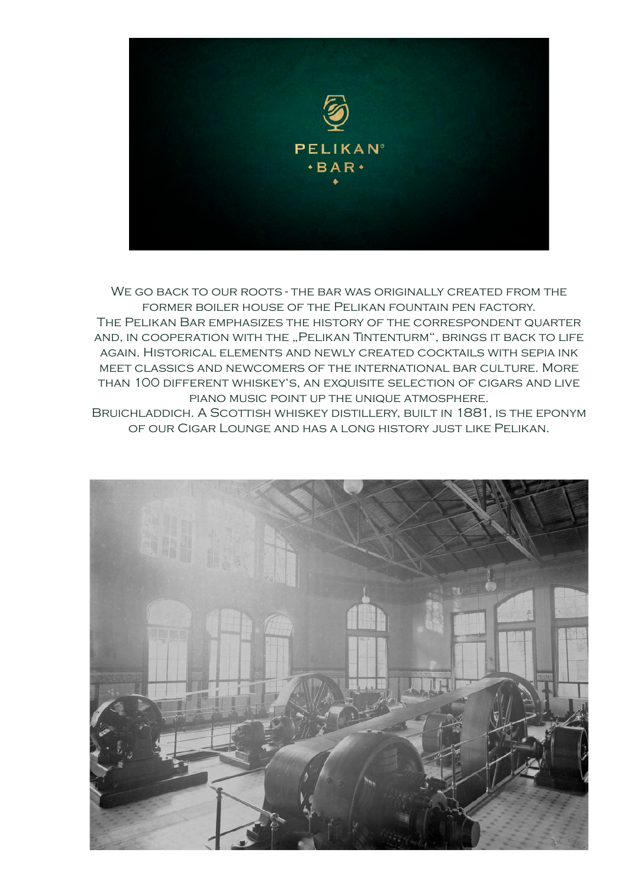

We go back to our roots - the bar was originally created from the former boiler house of the Pelikan fountain pen factory. The Pelikan Bar emphasizes the history of the correspondent quarter and, IN COOPERATION WITH THE "PELIKAN TINTENTURM", BRINGS IT BACK TO LIFE again. Historical elements and newly created cocktails with sepia ink meet classics and newcomers of the international bar culture. More than 100 different whiskey's, an exquisite selection of cigars and live piano music point up the unique atmosphere. Bruichladdich. A Scottish whiskey distillery, built in 1881, is the eponym

of our Cigar Lounge and has a long history just like Pelikan.

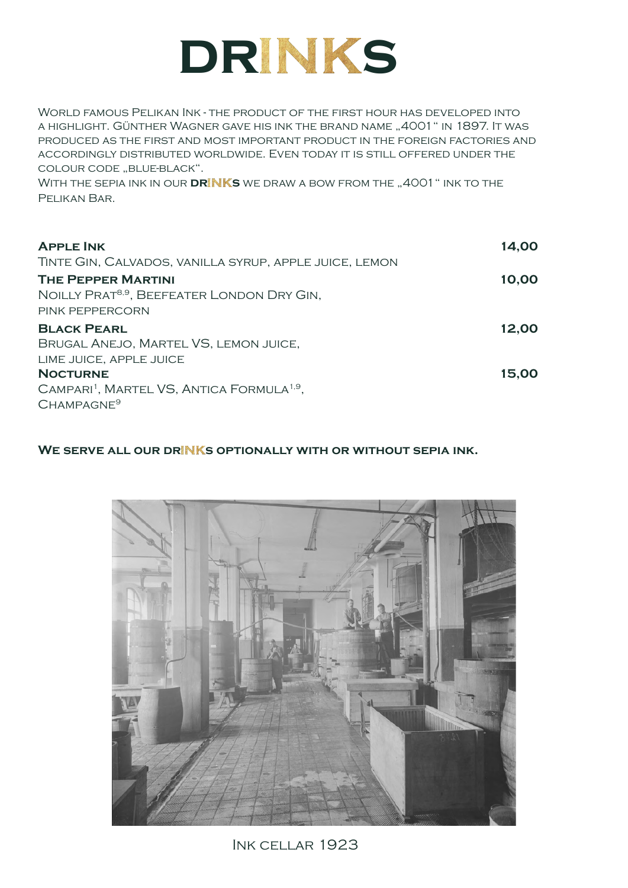

World famous Pelikan Ink - the product of the first hour has developed into a highlight. Günther Wagner gave his ink the brand name "4001" in 1897. It was produced as the first and most important product in the foreign factories and accordingly distributed worldwide. Even today it is still offered under the COLOUR CODE "BLUE-BLACK".

WITH THE SEPIA INK IN OUR **DRINKS** WE DRAW A BOW FROM THE "4001" INK TO THE Pelikan Bar.

| <b>APPLE INK</b>                                                                                               | 14,00 |
|----------------------------------------------------------------------------------------------------------------|-------|
| TINTE GIN, CALVADOS, VANILLA SYRUP, APPLE JUICE, LEMON                                                         |       |
| <b>THE PEPPER MARTINI</b><br>NOILLY PRAT <sup>8,9</sup> , BEEFEATER LONDON DRY GIN,<br>PINK PEPPERCORN         | 10,00 |
| <b>BLACK PEARL</b><br>BRUGAL ANEJO, MARTEL VS, LEMON JUICE,<br>LIME JUICE, APPLE JUICE                         | 12,00 |
| <b>NOCTURNE</b><br>CAMPARI <sup>1</sup> , MARTEL VS, ANTICA FORMULA <sup>1,9</sup> ,<br>CHAMPAGNE <sup>9</sup> | 15,00 |

WE SERVE ALL OUR DRINKS OPTIONALLY WITH OR WITHOUT SEPIA INK.



Ink cellar 1923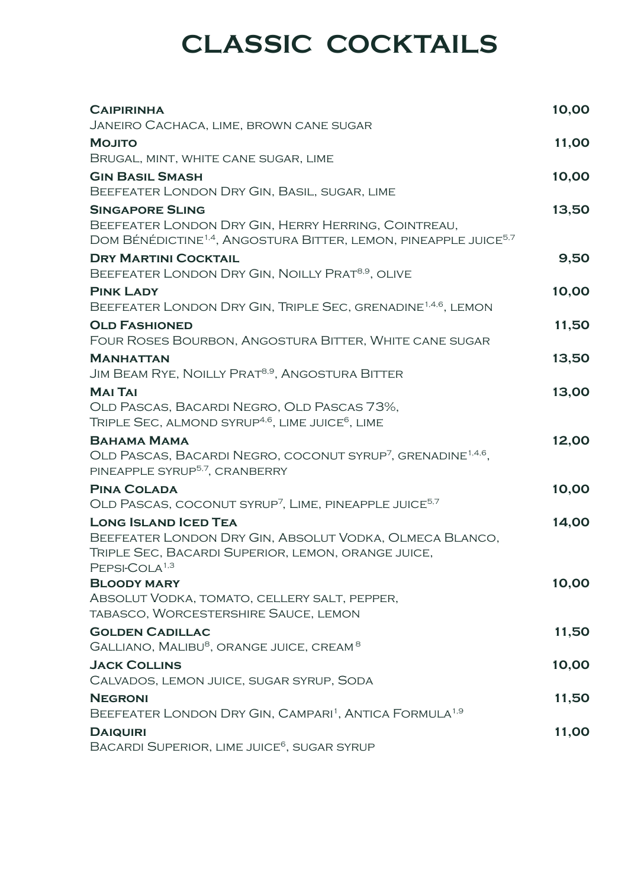## **CLASSIC COCKTAILS**

| <b>CAIPIRINHA</b>                                                                                                                                                         | 10,00 |
|---------------------------------------------------------------------------------------------------------------------------------------------------------------------------|-------|
| JANEIRO CACHACA, LIME, BROWN CANE SUGAR                                                                                                                                   |       |
| <b>MOJITO</b><br>BRUGAL, MINT, WHITE CANE SUGAR, LIME                                                                                                                     | 11,00 |
| <b>GIN BASIL SMASH</b>                                                                                                                                                    | 10,00 |
| BEEFEATER LONDON DRY GIN, BASIL, SUGAR, LIME                                                                                                                              |       |
| <b>SINGAPORE SLING</b><br>BEEFEATER LONDON DRY GIN, HERRY HERRING, COINTREAU,<br>DOM BÉNÉDICTINE <sup>1,4</sup> , ANGOSTURA BITTER, LEMON, PINEAPPLE JUICE <sup>5,7</sup> | 13,50 |
| <b>DRY MARTINI COCKTAIL</b>                                                                                                                                               | 9,50  |
| BEEFEATER LONDON DRY GIN, NOILLY PRAT <sup>8,9</sup> , OLIVE                                                                                                              |       |
| <b>PINK LADY</b><br>BEEFEATER LONDON DRY GIN, TRIPLE SEC, GRENADINE <sup>1,4,6</sup> , LEMON                                                                              | 10,00 |
| <b>OLD FASHIONED</b><br>FOUR ROSES BOURBON, ANGOSTURA BITTER, WHITE CANE SUGAR                                                                                            | 11,50 |
| <b>MANHATTAN</b>                                                                                                                                                          | 13,50 |
| JIM BEAM RYE, NOILLY PRAT <sup>8,9</sup> , ANGOSTURA BITTER                                                                                                               |       |
| <b>MAI TAI</b><br>OLD PASCAS, BACARDI NEGRO, OLD PASCAS 73%,<br>TRIPLE SEC, ALMOND SYRUP <sup>4,6</sup> , LIME JUICE <sup>6</sup> , LIME                                  | 13,00 |
| <b>BAHAMA MAMA</b><br>OLD PASCAS, BACARDI NEGRO, COCONUT SYRUP <sup>7</sup> , GRENADINE <sup>1,4,6</sup> ,<br>PINEAPPLE SYRUP <sup>5,7</sup> , CRANBERRY                  | 12,00 |
| <b>PINA COLADA</b>                                                                                                                                                        | 10,00 |
| OLD PASCAS, COCONUT SYRUP <sup>7</sup> , LIME, PINEAPPLE JUICE <sup>5,7</sup>                                                                                             |       |
| <b>LONG ISLAND ICED TEA</b><br>BEEFEATER LONDON DRY GIN, ABSOLUT VODKA, OLMECA BLANCO,<br>TRIPLE SEC, BACARDI SUPERIOR, LEMON, ORANGE JUICE,<br>PEPSI-COLA <sup>1,3</sup> | 14,00 |
| <b>BLOODY MARY</b><br>ABSOLUT VODKA, TOMATO, CELLERY SALT, PEPPER,                                                                                                        | 10,00 |
| TABASCO, WORCESTERSHIRE SAUCE, LEMON                                                                                                                                      |       |
| <b>GOLDEN CADILLAC</b><br>GALLIANO, MALIBU <sup>8</sup> , ORANGE JUICE, CREAM <sup>8</sup>                                                                                | 11,50 |
| <b>JACK COLLINS</b>                                                                                                                                                       | 10,00 |
| CALVADOS, LEMON JUICE, SUGAR SYRUP, SODA                                                                                                                                  |       |
| <b>NEGRONI</b>                                                                                                                                                            | 11,50 |
| BEEFEATER LONDON DRY GIN, CAMPARI <sup>1</sup> , ANTICA FORMULA <sup>1,9</sup>                                                                                            |       |
| <b>DAIQUIRI</b><br>BACARDI SUPERIOR, LIME JUICE <sup>6</sup> , SUGAR SYRUP                                                                                                | 11,00 |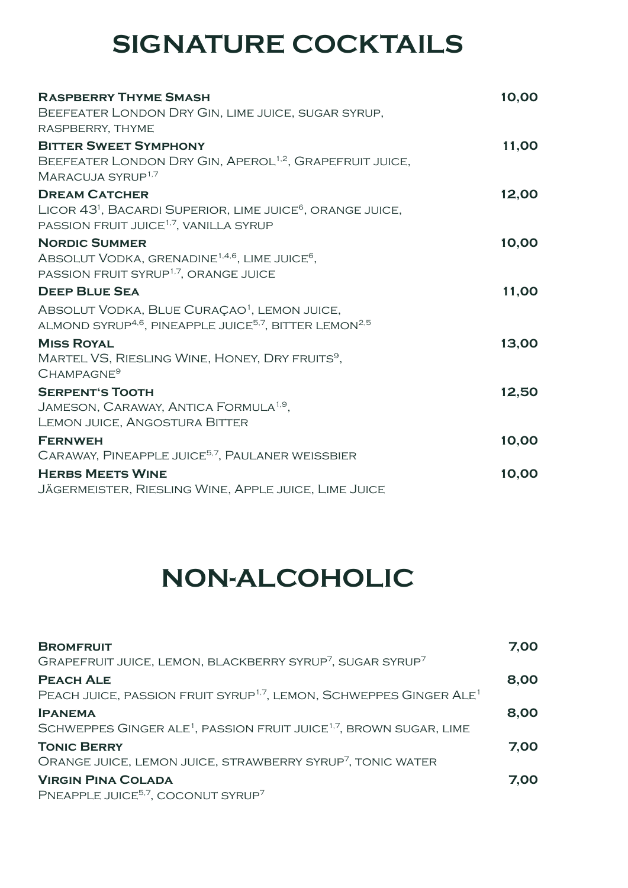## **SIGNATURE COCKTAILS**

| <b>RASPBERRY THYME SMASH</b>                                                                                                            | 10,00 |
|-----------------------------------------------------------------------------------------------------------------------------------------|-------|
| BEEFEATER LONDON DRY GIN, LIME JUICE, SUGAR SYRUP,                                                                                      |       |
| RASPBERRY, THYME                                                                                                                        |       |
| <b>BITTER SWEET SYMPHONY</b>                                                                                                            | 11,00 |
| BEEFEATER LONDON DRY GIN, APEROL <sup>1,2</sup> , GRAPEFRUIT JUICE,<br>MARACUJA SYRUP <sup>1,7</sup>                                    |       |
| <b>DREAM CATCHER</b>                                                                                                                    | 12,00 |
| LICOR 43 <sup>1</sup> , BACARDI SUPERIOR, LIME JUICE <sup>6</sup> , ORANGE JUICE,<br>PASSION FRUIT JUICE <sup>1,7</sup> , VANILLA SYRUP |       |
| <b>NORDIC SUMMER</b>                                                                                                                    | 10,00 |
| ABSOLUT VODKA, GRENADINE <sup>1,4,6</sup> , LIME JUICE <sup>6</sup> ,                                                                   |       |
| PASSION FRUIT SYRUP <sup>1,7</sup> , ORANGE JUICE                                                                                       |       |
| <b>DEEP BLUE SEA</b>                                                                                                                    | 11,00 |
| ABSOLUT VODKA, BLUE CURAÇAO <sup>1</sup> , LEMON JUICE,                                                                                 |       |
| ALMOND SYRUP <sup>4,6</sup> , PINEAPPLE JUICE <sup>5,7</sup> , BITTER LEMON <sup>2,5</sup>                                              |       |
| <b>MISS ROYAL</b>                                                                                                                       | 13,00 |
| MARTEL VS, RIESLING WINE, HONEY, DRY FRUITS <sup>9</sup> ,                                                                              |       |
| CHAMPAGNE <sup>9</sup>                                                                                                                  |       |
| <b>SERPENT'S TOOTH</b>                                                                                                                  | 12,50 |
| JAMESON, CARAWAY, ANTICA FORMULA <sup>1,9</sup> ,                                                                                       |       |
| LEMON JUICE, ANGOSTURA BITTER                                                                                                           |       |
| <b>FERNWEH</b>                                                                                                                          | 10,00 |
| CARAWAY, PINEAPPLE JUICE <sup>5,7</sup> , PAULANER WEISSBIER                                                                            |       |
| <b>HERBS MEETS WINE</b>                                                                                                                 | 10,00 |
| JÄGERMEISTER, RIESLING WINE, APPLE JUICE, LIME JUICE                                                                                    |       |

## **NON-ALCOHOLIC**

| <b>BROMFRUIT</b><br>GRAPEFRUIT JUICE, LEMON, BLACKBERRY SYRUP <sup>7</sup> , SUGAR SYRUP <sup>7</sup>          | 7,00 |
|----------------------------------------------------------------------------------------------------------------|------|
| <b>PEACH ALE</b><br>PEACH JUICE, PASSION FRUIT SYRUP <sup>1,7</sup> , LEMON, SCHWEPPES GINGER ALE <sup>1</sup> | 8,00 |
| <b>IPANEMA</b><br>SCHWEPPES GINGER ALE <sup>1</sup> , PASSION FRUIT JUICE <sup>1,7</sup> , BROWN SUGAR, LIME   | 8,00 |
| <b>TONIC BERRY</b><br>ORANGE JUICE, LEMON JUICE, STRAWBERRY SYRUP <sup>7</sup> , TONIC WATER                   | 7,00 |
| <b>VIRGIN PINA COLADA</b><br>PNEAPPLE JUICE <sup>5,7</sup> , COCONUT SYRUP <sup>7</sup>                        | 7.00 |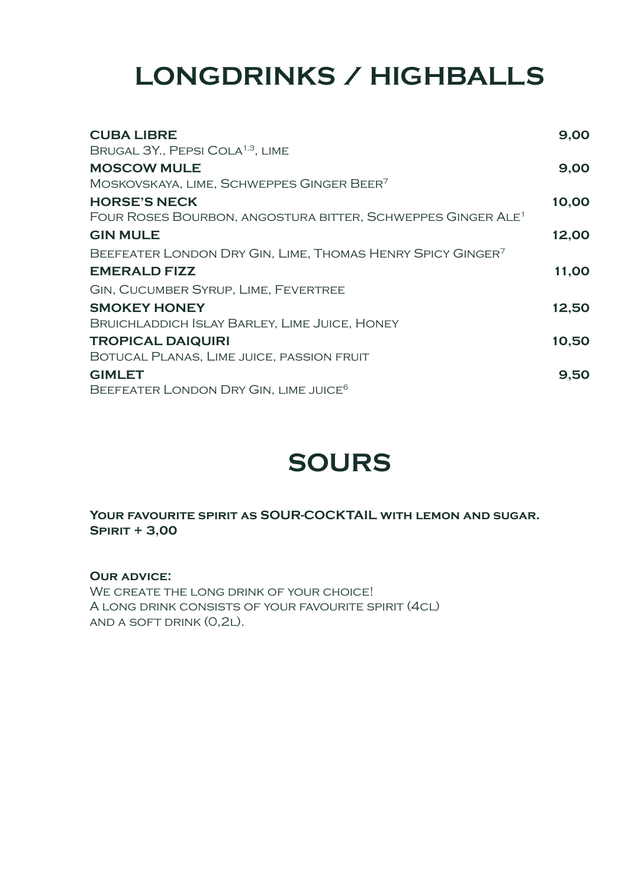## **LONGDRINKS / HIGHBALLS**

| <b>CUBA LIBRE</b>                                                       | 9,00  |
|-------------------------------------------------------------------------|-------|
| BRUGAL 3Y., PEPSI COLA <sup>1,3</sup> , LIME                            |       |
| <b>MOSCOW MULE</b>                                                      | 9,00  |
| MOSKOVSKAYA, LIME, SCHWEPPES GINGER BEER <sup>7</sup>                   |       |
| <b>HORSE'S NECK</b>                                                     | 10,00 |
| FOUR ROSES BOURBON, ANGOSTURA BITTER, SCHWEPPES GINGER ALE <sup>1</sup> |       |
| <b>GIN MULE</b>                                                         | 12,00 |
| BEEFEATER LONDON DRY GIN, LIME, THOMAS HENRY SPICY GINGER <sup>7</sup>  |       |
| <b>EMERALD FIZZ</b>                                                     | 11,00 |
| <b>GIN, CUCUMBER SYRUP, LIME, FEVERTREE</b>                             |       |
| <b>SMOKEY HONEY</b>                                                     | 12,50 |
| BRUICHLADDICH ISLAY BARLEY, LIME JUICE, HONEY                           |       |
| <b>TROPICAL DAIQUIRI</b>                                                | 10,50 |
| BOTUCAL PLANAS, LIME JUICE, PASSION FRUIT                               |       |
| <b>GIMLET</b>                                                           | 9,50  |
| BEEFEATER LONDON DRY GIN, LIME JUICE <sup>6</sup>                       |       |

## **SOURS**

**Your favourite spirit as SOUR-COCKTAIL with lemon and sugar. Spirit + 3,00**

**Our advice:**

WE CREATE THE LONG DRINK OF YOUR CHOICE! A long drink consists of your favourite spirit (4cl) and a soft drink (0,2l).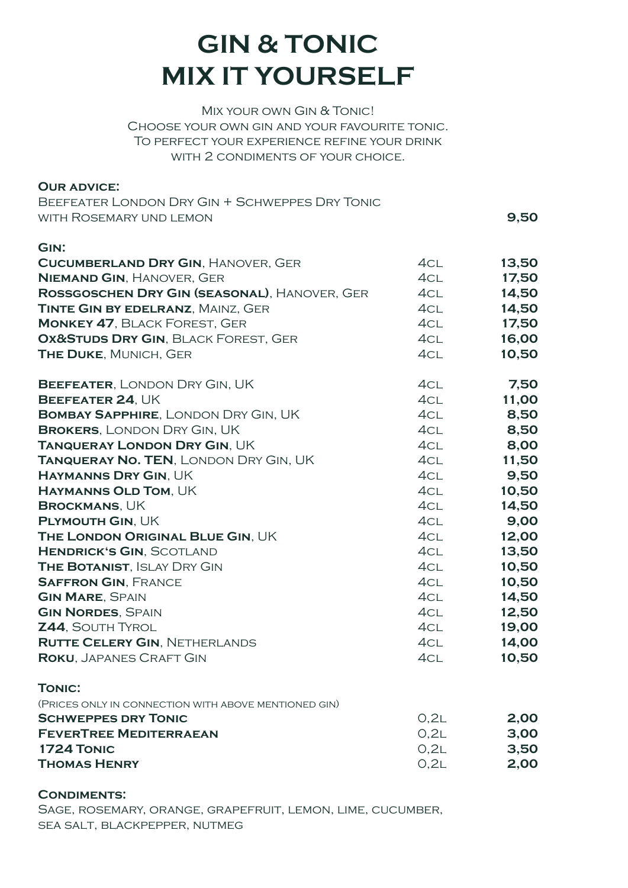## **GIN & TONIC MIX IT YOURSELF**

Mix your own Gin & Tonic! Choose your own gin and your favourite tonic. To perfect your experience refine your drink WITH 2 CONDIMENTS OF YOUR CHOICE.

#### **Our advice:**

| BEEFEATER LONDON DRY GIN + SCHWEPPES DRY TONIC |      |
|------------------------------------------------|------|
| WITH ROSEMARY UND LEMON                        | 9,50 |

| GIN:                                                 |      |       |
|------------------------------------------------------|------|-------|
| <b>CUCUMBERLAND DRY GIN, HANOVER, GER</b>            | 4CL  | 13,50 |
| <b>NIEMAND GIN, HANOVER, GER</b>                     | 4CL  | 17,50 |
| ROSSGOSCHEN DRY GIN (SEASONAL), HANOVER, GER         | 4CL  | 14,50 |
| <b>TINTE GIN BY EDELRANZ, MAINZ, GER</b>             | 4CL  | 14,50 |
| <b>MONKEY 47, BLACK FOREST, GER</b>                  | 4CL  | 17,50 |
| OX&STUDS DRY GIN, BLACK FOREST, GER                  | 4CL  | 16,00 |
| THE DUKE, MUNICH, GER                                | 4CL  | 10,50 |
| <b>BEEFEATER, LONDON DRY GIN, UK</b>                 | 4CL  | 7,50  |
| BEEFEATER 24, UK                                     | 4CL  | 11,00 |
| <b>BOMBAY SAPPHIRE, LONDON DRY GIN, UK</b>           | 4CL  | 8,50  |
| <b>BROKERS, LONDON DRY GIN, UK</b>                   | 4CL  | 8,50  |
| <b>TANQUERAY LONDON DRY GIN, UK</b>                  | 4CL  | 8,00  |
| <b>TANQUERAY NO. TEN, LONDON DRY GIN, UK</b>         | 4CL  | 11,50 |
| <b>HAYMANNS DRY GIN, UK</b>                          | 4CL  | 9,50  |
| <b>HAYMANNS OLD TOM, UK</b>                          | 4CL  | 10,50 |
| <b>BROCKMANS, UK</b>                                 | 4CL  | 14,50 |
| PLYMOUTH GIN, UK                                     | 4CL  | 9,00  |
| THE LONDON ORIGINAL BLUE GIN, UK                     | 4CL  | 12,00 |
| <b>HENDRICK'S GIN, SCOTLAND</b>                      | 4CL  | 13,50 |
| <b>THE BOTANIST, ISLAY DRY GIN</b>                   | 4CL  | 10,50 |
| <b>SAFFRON GIN, FRANCE</b>                           | 4CL  | 10,50 |
| <b>GIN MARE, SPAIN</b>                               | 4CL  | 14,50 |
| <b>GIN NORDES, SPAIN</b>                             | 4CL  | 12,50 |
| <b>Z44, SOUTH TYROL</b>                              | 4CL  | 19,00 |
| <b>RUTTE CELERY GIN, NETHERLANDS</b>                 | 4CL  | 14,00 |
| <b>ROKU, JAPANES CRAFT GIN</b>                       | 4CL  | 10,50 |
| <b>TONIC:</b>                                        |      |       |
| (PRICES ONLY IN CONNECTION WITH ABOVE MENTIONED GIN) |      |       |
| <b>SCHWEPPES DRY TONIC</b>                           | O,2L | 2,00  |
| <b>FEVERTREE MEDITERRAEAN</b>                        | O,2L | 3,00  |
| 1724 TONIC                                           | O,2L | 3,50  |

**THOMAS HENRY** 2,00

**Condiments:**

Sage, rosemary, orange, grapefruit, lemon, lime, cucumber, sea salt, blackpepper, nutmeg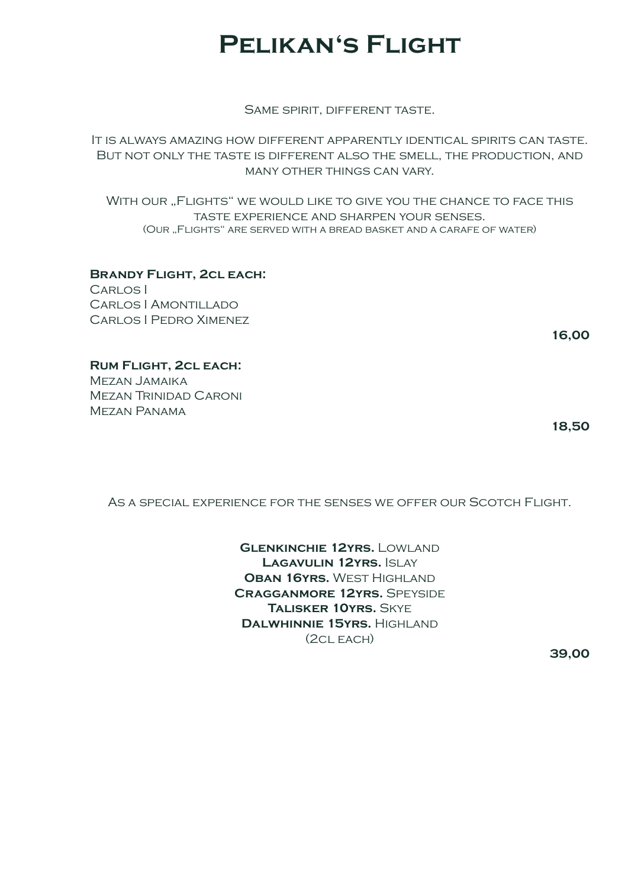### **Pelikan's Flight**

Same spirit, different taste.

It is always amazing how different apparently identical spirits can taste. But not only the taste is different also the smell, the production, and many other things can vary.

WITH OUR "FLIGHTS" WE WOULD LIKE TO GIVE YOU THE CHANCE TO FACE THIS taste experience and sharpen your senses. (OUR "FLIGHTS" ARE SERVED WITH A BREAD BASKET AND A CARAFE OF WATER)

**Brandy Flight, 2cl each:** Carlos I Carlos I Amontillado Carlos I Pedro Ximenez

**16,00**

**Rum Flight, 2cl each:** Mezan Jamaika

Mezan Trinidad Caroni Mezan Panama

**18,50**

As a special experience for the senses we offer our Scotch Flight.

**Glenkinchie 12yrs.** Lowland LAGAVULIN 12YRS. **ISLAY Oban 16yrs.** West Highland **Cragganmore 12yrs.** Speyside **Talisker 10yrs.** Skye **Dalwhinnie 15yrs.** Highland (2cl each)

**39,00**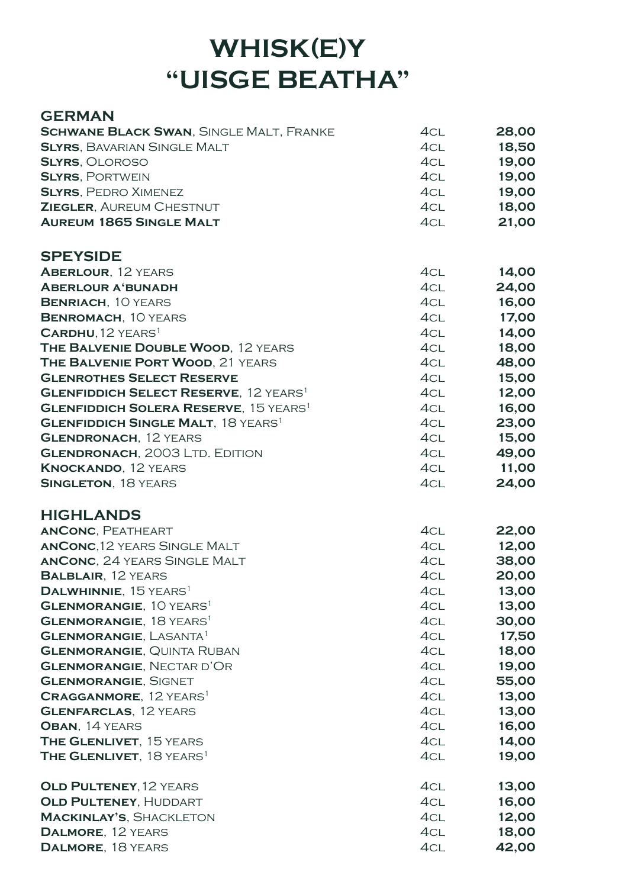## **WHISK(E)Y "UISGE BEATHA"**

#### **GERMAN**

| <b>SCHWANE BLACK SWAN, SINGLE MALT, FRANKE</b>                             | 4CL        | 28,00          |
|----------------------------------------------------------------------------|------------|----------------|
| <b>SLYRS, BAVARIAN SINGLE MALT</b>                                         | 4CL        | 18,50          |
| <b>SLYRS, OLOROSO</b>                                                      | 4CL        | 19,00          |
| <b>SLYRS, PORTWEIN</b>                                                     | 4CL        | 19,00          |
| <b>SLYRS, PEDRO XIMENEZ</b>                                                | 4CL        | 19,00          |
| <b>ZIEGLER, AUREUM CHESTNUT</b>                                            | 4CL        | 18,00          |
| <b>AUREUM 1865 SINGLE MALT</b>                                             | 4CL        | 21,00          |
| <b>SPEYSIDE</b>                                                            |            |                |
| <b>ABERLOUR, 12 YEARS</b>                                                  | 4CL        | 14,00          |
| <b>ABERLOUR A'BUNADH</b>                                                   | 4CL        | 24,00          |
| <b>BENRIACH, 10 YEARS</b>                                                  | 4CL        | 16,00          |
| <b>BENROMACH, 10 YEARS</b>                                                 | 4CL        | 17,00          |
| CARDHU, 12 YEARS <sup>1</sup>                                              | 4CL        | 14,00          |
| THE BALVENIE DOUBLE WOOD, 12 YEARS                                         | 4CL        | 18,00          |
| THE BALVENIE PORT WOOD, 21 YEARS                                           | 4CL        | 48,00          |
| <b>GLENROTHES SELECT RESERVE</b>                                           | 4CL        | 15,00          |
| <b>GLENFIDDICH SELECT RESERVE, 12 YEARS1</b>                               | 4CL        | 12,00          |
| <b>GLENFIDDICH SOLERA RESERVE, 15 YEARS1</b>                               | 4CL        | 16,00          |
| <b>GLENFIDDICH SINGLE MALT, 18 YEARS<sup>1</sup></b>                       | 4CL        | 23,00          |
| <b>GLENDRONACH, 12 YEARS</b>                                               | 4CL        | 15,00          |
| <b>GLENDRONACH, 2003 LTD. EDITION</b>                                      | 4CL        | 49,00          |
| <b>KNOCKANDO, 12 YEARS</b>                                                 | 4CL        | 11,00          |
| <b>SINGLETON, 18 YEARS</b>                                                 | 4CL        | 24,00          |
| <b>HIGHLANDS</b>                                                           |            |                |
| <b>ANCONC, PEATHEART</b>                                                   | 4CL        | 22,00          |
| <b>ANCONC, 12 YEARS SINGLE MALT</b>                                        | 4CL        | 12,00          |
| <b>ANCONC, 24 YEARS SINGLE MALT</b>                                        | 4CL        | 38,00          |
| <b>BALBLAIR, 12 YEARS</b>                                                  | 4CL        | 20,00          |
| DALWHINNIE, 15 YEARS <sup>1</sup>                                          | 4CL        | 13,00          |
| <b>GLENMORANGIE, 10 YEARS1</b>                                             | 4CL<br>4CL | 13,00          |
| <b>GLENMORANGIE, 18 YEARS1</b><br><b>GLENMORANGIE, LASANTA<sup>1</sup></b> | 4CL        | 30,00<br>17,50 |
| <b>GLENMORANGIE, QUINTA RUBAN</b>                                          | 4CL        | 18,00          |
| <b>GLENMORANGIE, NECTAR D'OR</b>                                           | 4CL        | 19,00          |
| <b>GLENMORANGIE, SIGNET</b>                                                | 4CL        | 55,00          |
| <b>CRAGGANMORE, 12 YEARS1</b>                                              | 4CL        | 13,00          |
| <b>GLENFARCLAS, 12 YEARS</b>                                               | 4CL        | 13,00          |
| OBAN, 14 YEARS                                                             | 4CL        | 16,00          |
| <b>THE GLENLIVET, 15 YEARS</b>                                             | 4CL        | 14,00          |
| THE GLENLIVET, 18 YEARS <sup>1</sup>                                       | 4CL        | 19,00          |
| OLD PULTENEY, 12 YEARS                                                     | 4CL        | 13,00          |
| OLD PULTENEY, HUDDART                                                      | 4CL        | 16,00          |
| <b>MACKINLAY'S, SHACKLETON</b>                                             | 4CL        | 12,00          |
| DALMORE, 12 YEARS                                                          | 4CL        | 18,00          |
| DALMORE, 18 YEARS                                                          | 4CL        | 42,00          |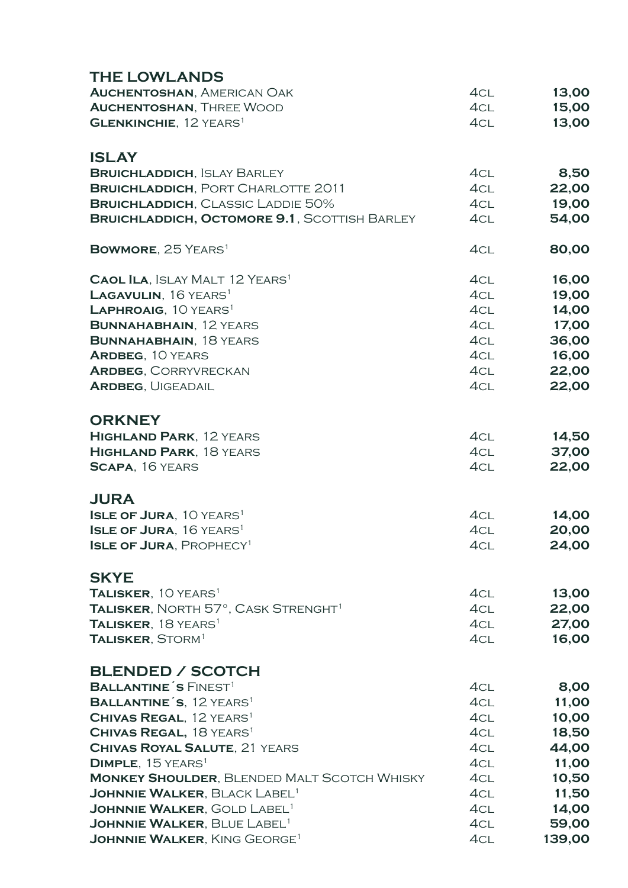| <b>THE LOWLANDS</b>                                                                                  |            |                |
|------------------------------------------------------------------------------------------------------|------------|----------------|
| <b>AUCHENTOSHAN, AMERICAN OAK</b>                                                                    | 4CL        | 13,00          |
| <b>AUCHENTOSHAN, THREE WOOD</b>                                                                      | 4CL        | 15,00          |
| <b>GLENKINCHIE, 12 YEARS</b> <sup>1</sup>                                                            | 4CL        | 13,00          |
|                                                                                                      |            |                |
| <b>ISLAY</b>                                                                                         |            |                |
| <b>BRUICHLADDICH, ISLAY BARLEY</b>                                                                   | 4CL        | 8,50           |
| <b>BRUICHLADDICH, PORT CHARLOTTE 2011</b>                                                            | 4CL        | 22,00          |
| <b>BRUICHLADDICH, CLASSIC LADDIE 50%</b>                                                             | 4CL        | 19,00          |
| <b>BRUICHLADDICH, OCTOMORE 9.1, SCOTTISH BARLEY</b>                                                  | 4CL        | 54,00          |
|                                                                                                      |            |                |
| <b>BOWMORE, 25 YEARS</b> <sup>1</sup>                                                                | 4CL        | 80,00          |
| <b>CAOL ILA, ISLAY MALT 12 YEARS<sup>1</sup></b>                                                     | 4CL        | 16,00          |
| LAGAVULIN, 16 YEARS <sup>1</sup>                                                                     | 4CL        | 19,00          |
| LAPHROAIG, 10 YEARS <sup>1</sup>                                                                     | 4CL        | 14,00          |
| <b>BUNNAHABHAIN, 12 YEARS</b>                                                                        | 4CL        | 17,00          |
| <b>BUNNAHABHAIN, 18 YEARS</b>                                                                        | 4CL        | 36,00          |
| <b>ARDBEG, 10 YEARS</b>                                                                              | 4CL        | 16,00          |
| <b>ARDBEG, CORRYVRECKAN</b>                                                                          | 4CL        | 22,00          |
| <b>ARDBEG, UIGEADAIL</b>                                                                             | 4CL        | 22,00          |
|                                                                                                      |            |                |
| <b>ORKNEY</b>                                                                                        |            |                |
| <b>HIGHLAND PARK, 12 YEARS</b>                                                                       | 4CL        | 14,50          |
| <b>HIGHLAND PARK, 18 YEARS</b>                                                                       | 4CL        | 37,00          |
| <b>SCAPA, 16 YEARS</b>                                                                               | 4CL        | 22,00          |
|                                                                                                      |            |                |
| <b>JURA</b>                                                                                          |            |                |
| <b>ISLE OF JURA, 10 YEARS1</b>                                                                       | 4CL        | 14,00          |
| <b>ISLE OF JURA, 16 YEARS<sup>1</sup></b>                                                            | 4CL        | 20,00          |
| <b>ISLE OF JURA, PROPHECY<sup>1</sup></b>                                                            | 4cl        | 24,00          |
|                                                                                                      |            |                |
| <b>SKYE</b>                                                                                          |            |                |
| TALISKER, 10 YEARS <sup>1</sup>                                                                      | 4CL        | 13,00          |
| TALISKER, NORTH 57°, CASK STRENGHT <sup>1</sup>                                                      | 4CL        | 22,00          |
| TALISKER, 18 YEARS <sup>1</sup>                                                                      | 4CL        | 27,00          |
| <b>TALISKER, STORM<sup>1</sup></b>                                                                   | 4CL        | 16,00          |
|                                                                                                      |            |                |
| <b>BLENDED / SCOTCH</b>                                                                              |            |                |
| <b>BALLANTINE'S FINEST<sup>1</sup></b>                                                               | 4CL        | 8,00           |
| <b>BALLANTINE'S, 12 YEARS</b> <sup>1</sup>                                                           | 4CL        | 11,00          |
| <b>CHIVAS REGAL, 12 YEARS1</b>                                                                       | 4CL        | 10,00          |
| <b>CHIVAS REGAL, 18 YEARS1</b>                                                                       | 4CL        | 18,50          |
| <b>CHIVAS ROYAL SALUTE, 21 YEARS</b>                                                                 | 4CL        | 44,00          |
| <b>DIMPLE, 15 YEARS</b> <sup>1</sup>                                                                 | 4CL        | 11,00          |
| <b>MONKEY SHOULDER, BLENDED MALT SCOTCH WHISKY</b><br><b>JOHNNIE WALKER, BLACK LABEL<sup>1</sup></b> | 4CL<br>4CL | 10,50          |
| <b>JOHNNIE WALKER, GOLD LABEL<sup>1</sup></b>                                                        | 4CL        | 11,50<br>14,00 |
| <b>JOHNNIE WALKER, BLUE LABEL<sup>1</sup></b>                                                        | 4CL        | 59,00          |
| <b>JOHNNIE WALKER, KING GEORGE<sup>1</sup></b>                                                       | 4CL        | 139,00         |
|                                                                                                      |            |                |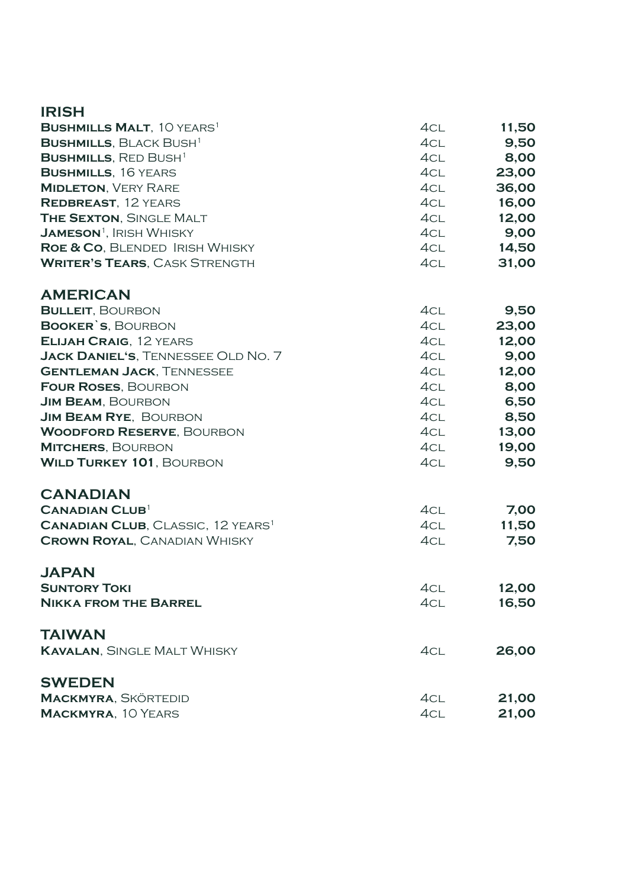| <b>IRISH</b>                                        |     |       |
|-----------------------------------------------------|-----|-------|
| <b>BUSHMILLS MALT, 10 YEARS<sup>1</sup></b>         | 4CL | 11,50 |
| <b>BUSHMILLS, BLACK BUSH<sup>1</sup></b>            | 4CL | 9,50  |
| <b>BUSHMILLS, RED BUSH1</b>                         | 4CL | 8,00  |
| <b>BUSHMILLS, 16 YEARS</b>                          | 4CL | 23,00 |
| <b>MIDLETON, VERY RARE</b>                          | 4CL | 36,00 |
| <b>REDBREAST, 12 YEARS</b>                          | 4CL | 16,00 |
| <b>THE SEXTON, SINGLE MALT</b>                      | 4CL | 12,00 |
| <b>JAMESON</b> <sup>1</sup> , IRISH WHISKY          | 4CL | 9,00  |
| ROE & CO, BLENDED IRISH WHISKY                      | 4CL | 14,50 |
| <b>WRITER'S TEARS, CASK STRENGTH</b>                | 4CL | 31,00 |
| <b>AMERICAN</b>                                     |     |       |
| <b>BULLEIT, BOURBON</b>                             | 4CL | 9,50  |
| <b>BOOKER'S, BOURBON</b>                            | 4CL | 23,00 |
| <b>ELIJAH CRAIG, 12 YEARS</b>                       | 4CL | 12,00 |
| <b>JACK DANIEL'S, TENNESSEE OLD NO. 7</b>           | 4CL | 9,00  |
| <b>GENTLEMAN JACK, TENNESSEE</b>                    | 4CL | 12,00 |
| <b>FOUR ROSES, BOURBON</b>                          | 4CL | 8,00  |
| <b>JIM BEAM, BOURBON</b>                            | 4CL | 6,50  |
| <b>JIM BEAM RYE, BOURBON</b>                        | 4CL | 8,50  |
| <b>WOODFORD RESERVE, BOURBON</b>                    | 4CL | 13,00 |
| <b>MITCHERS, BOURBON</b>                            | 4CL | 19,00 |
| <b>WILD TURKEY 101, BOURBON</b>                     | 4CL | 9,50  |
| <b>CANADIAN</b>                                     |     |       |
| <b>CANADIAN CLUB</b> <sup>1</sup>                   | 4CL | 7,00  |
| <b>CANADIAN CLUB, CLASSIC, 12 YEARS<sup>1</sup></b> | 4CL | 11,50 |
| <b>CROWN ROYAL, CANADIAN WHISKY</b>                 | 4CL | 7,50  |
| <b>JAPAN</b>                                        |     |       |
| <b>SUNTORY TOKI</b>                                 | 4CL | 12,00 |
| <b>NIKKA FROM THE BARREL</b>                        | 4CL | 16,50 |
| <b>TAIWAN</b>                                       |     |       |
| <b>KAVALAN, SINGLE MALT WHISKY</b>                  | 4CL | 26,00 |
| <b>SWEDEN</b>                                       |     |       |
| <b>MACKMYRA, SKÖRTEDID</b>                          | 4CL | 21,00 |
| <b>MACKMYRA, 10 YEARS</b>                           | 4CL | 21,00 |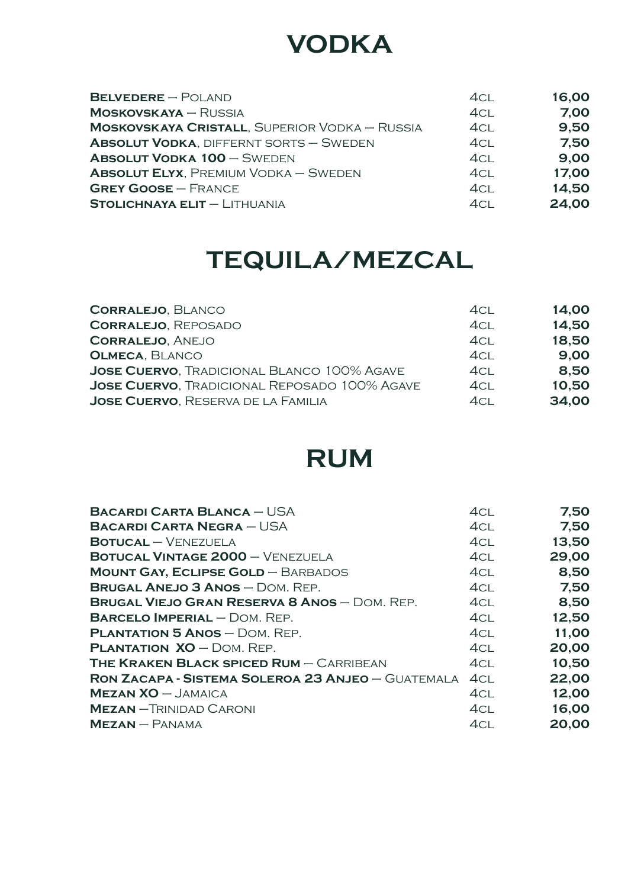## **VODKA**

| $BELVEDERE - POLAND$                                 | 4CL | 16,00 |
|------------------------------------------------------|-----|-------|
| $M$ OSKOVSKAYA – RUSSIA                              | 4CL | 7,00  |
| <b>MOSKOVSKAYA CRISTALL, SUPERIOR VODKA - RUSSIA</b> | 4CL | 9,50  |
| <b>ABSOLUT VODKA, DIFFERNT SORTS - SWEDEN</b>        | 4CL | 7,50  |
| <b>ABSOLUT VODKA 100 - SWEDEN</b>                    | 4CL | 9,00  |
| <b>ABSOLUT ELYX, PREMIUM VODKA - SWEDEN</b>          | 4CL | 17,00 |
| <b>GREY GOOSE - FRANCE</b>                           | 4CL | 14,50 |
| $STOLICHNAYA ELIT - LITHUANIA$                       | 4CL | 24,00 |

## **TEQUILA/MEZCAL**

| <b>CORRALEJO, BLANCO</b>                            | 4cl             | 14,00 |
|-----------------------------------------------------|-----------------|-------|
| <b>CORRALEJO, REPOSADO</b>                          | 4CL             | 14,50 |
| <b>CORRALEJO, ANEJO</b>                             | 4 <sub>CL</sub> | 18,50 |
| <b>OLMECA, BLANCO</b>                               | 4CL             | 9,00  |
| <b>JOSE CUERVO, TRADICIONAL BLANCO 100% AGAVE</b>   | 4CL             | 8,50  |
| <b>JOSE CUERVO, TRADICIONAL REPOSADO 100% AGAVE</b> | 4CL             | 10,50 |
| <b>JOSE CUERVO, RESERVA DE LA FAMILIA</b>           | 4CL             | 34,00 |

## **RUM**

| <b>BACARDI CARTA BLANCA - USA</b>                        | 4cl | 7,50  |
|----------------------------------------------------------|-----|-------|
| <b>BACARDI CARTA NEGRA – USA</b>                         | 4cl | 7,50  |
| $BOTUCAL - VENEZUELA$                                    | 4CL | 13,50 |
| <b>BOTUCAL VINTAGE 2000 - VENEZUELA</b>                  | 4CL | 29,00 |
| <b>MOUNT GAY, ECLIPSE GOLD - BARBADOS</b>                | 4CL | 8,50  |
| <b>BRUGAL ANEJO 3 ANOS - DOM. REP.</b>                   | 4CL | 7,50  |
| <b>BRUGAL VIEJO GRAN RESERVA 8 ANOS - DOM. REP.</b>      | 4CL | 8,50  |
| <b>BARCELO IMPERIAL</b> $-$ DOM. REP.                    | 4CL | 12,50 |
| <b>PLANTATION 5 ANOS - DOM. REP.</b>                     | 4CL | 11,00 |
| <b>PLANTATION <math>XO - DOM</math>. REP.</b>            | 4CL | 20,00 |
| <b>THE KRAKEN BLACK SPICED RUM - CARRIBEAN</b>           | 4cl | 10,50 |
| <b>RON ZACAPA - SISTEMA SOLEROA 23 ANJEO - GUATEMALA</b> | 4CL | 22,00 |
| $MEZAN XO - JAMAICA$                                     | 4CL | 12,00 |
| <b>MEZAN</b> - TRINIDAD CARONI                           | 4CL | 16,00 |
| $MEZAN - PANAMA$                                         | 4CL | 20,00 |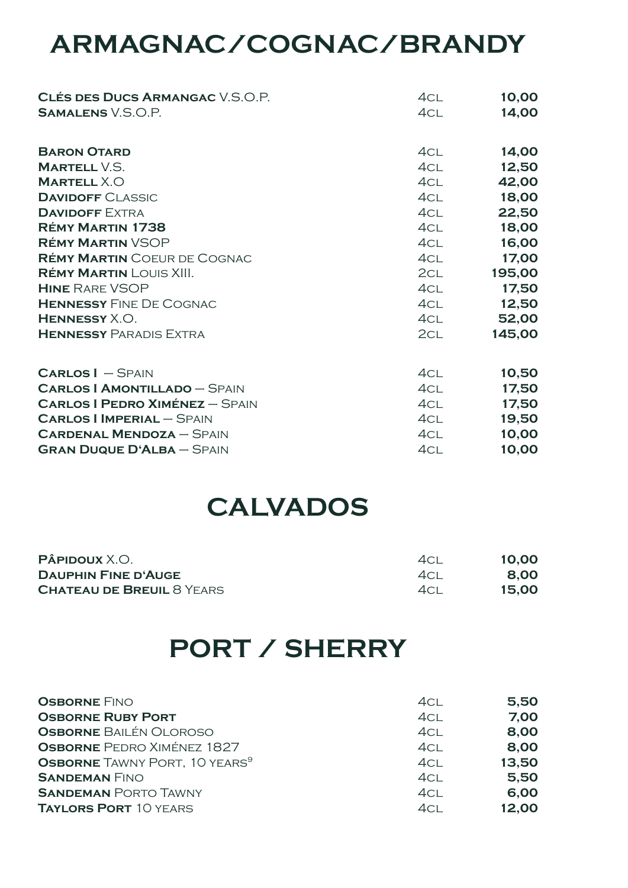## **ARMAGNAC/COGNAC/BRANDY**

| <b>CLÉS DES DUCS ARMANGAC V.S.O.P.</b> | 4CL             | 10,00  |
|----------------------------------------|-----------------|--------|
| <b>SAMALENS</b> V.S.O.P.               | 4CL             | 14,00  |
| <b>BARON OTARD</b>                     | 4CL             | 14,00  |
| <b>MARTELL V.S.</b>                    | 4CL             | 12,50  |
| <b>MARTELL X.O</b>                     | 4CL             | 42,00  |
| <b>DAVIDOFF CLASSIC</b>                | 4CL             | 18,00  |
| <b>DAVIDOFF EXTRA</b>                  | 4CL             | 22,50  |
| <b>RÉMY MARTIN 1738</b>                | 4CL             | 18,00  |
| <b>RÉMY MARTIN VSOP</b>                | 4CL             | 16,00  |
| <b>RÉMY MARTIN</b> COEUR DE COGNAC     | 4CL             | 17,00  |
| <b>RÉMY MARTIN LOUIS XIII.</b>         | 2CL             | 195,00 |
| <b>HINE RARE VSOP</b>                  | 4CL             | 17,50  |
| <b>HENNESSY FINE DE COGNAC</b>         | 4CL             | 12,50  |
| HENNESSY X.O.                          | 4CL             | 52,00  |
| <b>HENNESSY PARADIS EXTRA</b>          | 2 <sub>CL</sub> | 145,00 |
| $CARLOS I - SPAIN$                     | 4CL             | 10,50  |
| <b>CARLOS   AMONTILLADO - SPAIN</b>    | 4CL             | 17,50  |
| <b>CARLOS I PEDRO XIMÉNEZ - SPAIN</b>  | 4CL             | 17,50  |
| <b>CARLOS   IMPERIAL - SPAIN</b>       | 4CL             | 19,50  |
| <b>CARDENAL MENDOZA - SPAIN</b>        | 4CL             | 10,00  |
| <b>GRAN DUQUE D'ALBA - SPAIN</b>       | 4CL             | 10,00  |

### **CALVADOS**

| <b>PÂPIDOUX</b> X.O.             | 4CI  | 10,00 |
|----------------------------------|------|-------|
| <b>DAUPHIN FINE D'AUGE</b>       | 4CI. | 8.00  |
| <b>CHATEAU DE BREUIL 8 YEARS</b> | ACI  | 15.00 |

## **PORT / SHERRY**

| <b>OSBORNE FINO</b>                              | 4CL     | 5,50  |
|--------------------------------------------------|---------|-------|
| <b>OSBORNE RUBY PORT</b>                         | 4CL     | 7,00  |
| <b>OSBORNE BAILÉN OLOROSO</b>                    | 4CL     | 8,00  |
| <b>OSBORNE</b> PEDRO XIMÉNEZ 1827                | 4CL     | 8,00  |
| <b>OSBORNE</b> TAWNY PORT, 10 YEARS <sup>9</sup> | 4CL     | 13,50 |
| <b>SANDEMAN FINO</b>                             | 4CL     | 5,50  |
| <b>SANDEMAN PORTO TAWNY</b>                      | 4CL     | 6,00  |
| <b>TAYLORS PORT 10 YEARS</b>                     | $4$ CI. | 12,00 |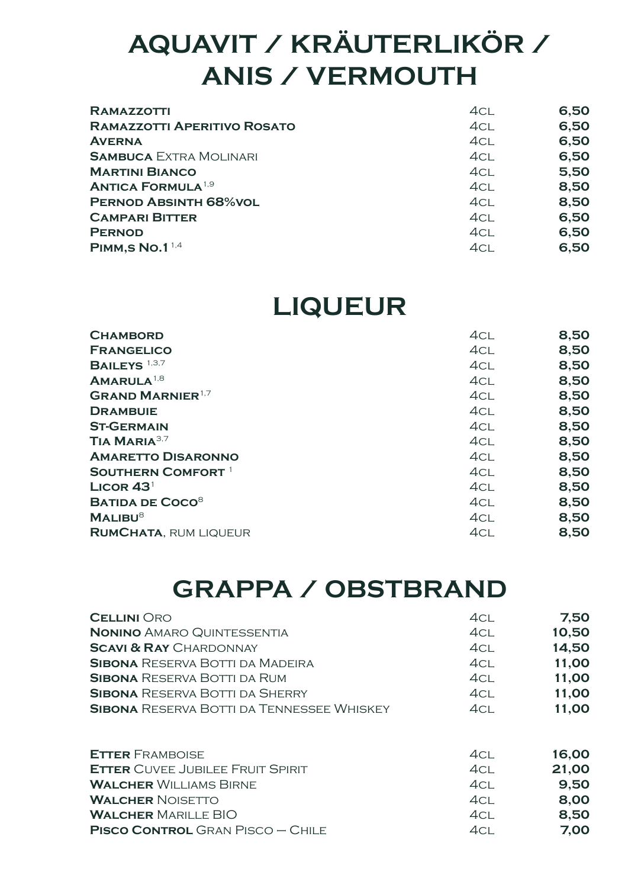## **AQUAVIT / KRÄUTERLIKÖR / ANIS / VERMOUTH**

| <b>RAMAZZOTTI</b>                    | 4CL | 6,50 |
|--------------------------------------|-----|------|
| <b>RAMAZZOTTI APERITIVO ROSATO</b>   | 4CL | 6,50 |
| <b>AVERNA</b>                        | 4CL | 6,50 |
| <b>SAMBUCA EXTRA MOLINARI</b>        | 4CL | 6,50 |
| <b>MARTINI BIANCO</b>                | 4CL | 5,50 |
| <b>ANTICA FORMULA</b> <sup>1,9</sup> | 4CL | 8,50 |
| <b>PERNOD ABSINTH 68%VOL</b>         | 4CL | 8,50 |
| <b>CAMPARI BITTER</b>                | 4CL | 6,50 |
| <b>PERNOD</b>                        | 4CL | 6,50 |
| PIMM, S $N$ o. $1^{1,4}$             | 4CL | 6,50 |

### **LIQUEUR**

| 4CL             | 8,50 |
|-----------------|------|
| 4CL             | 8,50 |
| 4CL             | 8,50 |
| 4CL             | 8,50 |
| 4CL             | 8,50 |
| 4CL             | 8,50 |
| 4CL             | 8,50 |
| 4CL             | 8,50 |
| 4CL             | 8,50 |
| 4CL             | 8,50 |
| 4CL             | 8,50 |
| 4CL             | 8,50 |
| 4CL             | 8,50 |
| 4 <sub>CL</sub> | 8,50 |
|                 |      |

### **GRAPPA / OBSTBRAND**

| <b>CELLINI ORO</b>                               | 4cl             | 7,50  |
|--------------------------------------------------|-----------------|-------|
| <b>NONINO AMARO QUINTESSENTIA</b>                | 4CL             | 10,50 |
| <b>SCAVI &amp; RAY CHARDONNAY</b>                | 4CL             | 14,50 |
| <b>SIBONA</b> RESERVA BOTTI DA MADEIRA           | 4CL             | 11,00 |
| <b>SIBONA RESERVA BOTTI DA RUM</b>               | 4CL             | 11,00 |
| <b>SIBONA RESERVA BOTTI DA SHERRY</b>            | 4CL             | 11,00 |
| <b>SIBONA</b> RESERVA BOTTI DA TENNESSEE WHISKEY | 4CL             | 11,00 |
|                                                  |                 |       |
| <b>ETTER FRAMBOISE</b>                           | 4CL             | 16,00 |
| <b>ETTER CUVEE JUBILEE FRUIT SPIRIT</b>          | 4cl             | 21,00 |
| <b>WALCHER WILLIAMS BIRNE</b>                    | 4CL             | 9,50  |
| <b>WALCHER NOISETTO</b>                          | 4CL             | 8,00  |
| <b>WALCHER MARILLE BIO</b>                       | 4CL             | 8,50  |
| <b>PISCO CONTROL</b> GRAN PISCO - CHILE          | 4 <sub>CL</sub> | 7,00  |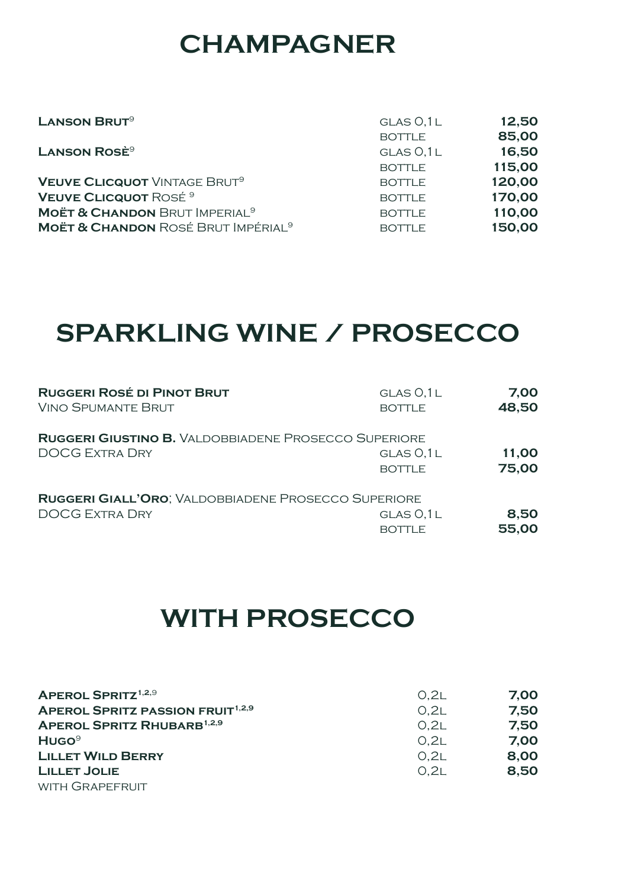## **CHAMPAGNER**

| 12,50<br>GLAS 0.1L      |
|-------------------------|
| 85,00<br><b>BOTTLE</b>  |
| 16,50<br>GLAS O, 1L     |
| 115,00<br><b>BOTTLE</b> |
| 120,00<br><b>BOTTLE</b> |
| 170,00<br><b>BOTTLE</b> |
| 110,00<br><b>BOTTLE</b> |
| 150,00<br><b>BOTTLE</b> |
|                         |

## **SPARKLING WINE / PROSECCO**

| <b>RUGGERI ROSÉ DI PINOT BRUT</b>                           | GLAS 0,1L     | 7,00  |
|-------------------------------------------------------------|---------------|-------|
| <b>VINO SPUMANTE BRUT</b>                                   | <b>BOTTLE</b> | 48,50 |
| <b>RUGGERI GIUSTINO B. VALDOBBIADENE PROSECCO SUPERIORE</b> | GLAS 0,1L     | 11,00 |
| <b>DOCG EXTRA DRY</b>                                       | <b>BOTTLE</b> | 75,00 |
| RUGGERI GIALL'ORO; VALDOBBIADENE PROSECCO SUPERIORE         | GLAS 0,1L     | 8,50  |
| <b>DOCG EXTRA DRY</b>                                       | <b>BOTTLE</b> | 55,00 |

## **WITH PROSECCO**

| <b>APEROL SPRITZ</b> <sup>1,2,9</sup>              | O.2L | 7,00 |
|----------------------------------------------------|------|------|
| <b>APEROL SPRITZ PASSION FRUIT<sup>1,2,9</sup></b> | O.2L | 7,50 |
| APEROL SPRITZ RHUBARB <sup>1,2,9</sup>             | O.2L | 7,50 |
| HUGO <sup>9</sup>                                  | O.2L | 7,00 |
| <b>LILLET WILD BERRY</b>                           | O.2L | 8,00 |
| <b>LILLET JOLIE</b>                                | O.2L | 8,50 |
| WITH GRAPEFRUIT                                    |      |      |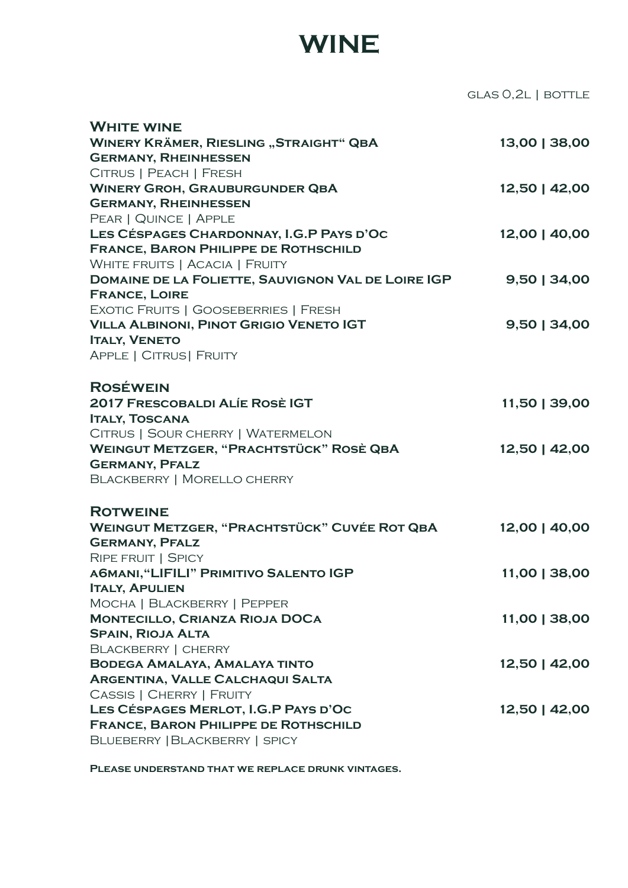## **WINE**

glas 0,2l | bottle

| <b>WHITE WINE</b>                                   |                |
|-----------------------------------------------------|----------------|
| <b>WINERY KRÄMER, RIESLING "STRAIGHT" QBA</b>       | 13,00   38,00  |
| <b>GERMANY, RHEINHESSEN</b>                         |                |
| CITRUS   PEACH   FRESH                              |                |
| <b>WINERY GROH, GRAUBURGUNDER QBA</b>               | 12,50   42,00  |
| <b>GERMANY, RHEINHESSEN</b>                         |                |
| PEAR   QUINCE   APPLE                               |                |
| LES CÉSPAGES CHARDONNAY, I.G.P PAYS D'OC            | 12,00   40,00  |
| <b>FRANCE, BARON PHILIPPE DE ROTHSCHILD</b>         |                |
| <b>WHITE FRUITS   ACACIA   FRUITY</b>               |                |
| DOMAINE DE LA FOLIETTE, SAUVIGNON VAL DE LOIRE IGP  | $9,50$   34,00 |
| <b>FRANCE, LOIRE</b>                                |                |
| EXOTIC FRUITS   GOOSEBERRIES   FRESH                |                |
| <b>VILLA ALBINONI, PINOT GRIGIO VENETO IGT</b>      | 9,50   34,00   |
| <b>ITALY, VENETO</b>                                |                |
| APPLE   CITRUS   FRUITY                             |                |
| <b>ROSÉWEIN</b>                                     |                |
| <b>2017 FRESCOBALDI ALÍE ROSÈ IGT</b>               | 11,50   39,00  |
| <b>ITALY, TOSCANA</b>                               |                |
| CITRUS   SOUR CHERRY   WATERMELON                   |                |
| <b>WEINGUT METZGER, "PRACHTSTÜCK" ROSÈ QBA</b>      | 12,50   42,00  |
| <b>GERMANY, PFALZ</b>                               |                |
| <b>BLACKBERRY   MORELLO CHERRY</b>                  |                |
| <b>ROTWEINE</b>                                     |                |
| <b>WEINGUT METZGER, "PRACHTSTÜCK" CUVÉE ROT QBA</b> | 12,00   40,00  |
| <b>GERMANY, PFALZ</b>                               |                |
| RIPE FRUIT   SPICY                                  |                |
| A6MANI, "LIFILI" PRIMITIVO SALENTO IGP              | 11,00   38,00  |
| <b>ITALY, APULIEN</b>                               |                |
| MOCHA   BLACKBERRY   PEPPER                         |                |
| <b>MONTECILLO, CRIANZA RIOJA DOCA</b>               | 11,00   38,00  |
| <b>SPAIN, RIOJA ALTA</b>                            |                |
| <b>BLACKBERRY   CHERRY</b>                          |                |
| <b>BODEGA AMALAYA, AMALAYA TINTO</b>                | 12,50   42,00  |
| <b>ARGENTINA, VALLE CALCHAQUI SALTA</b>             |                |
| <b>CASSIS   CHERRY   FRUITY</b>                     |                |
| LES CÉSPAGES MERLOT, I.G.P PAYS D'OC                | 12,50   42,00  |
| <b>FRANCE, BARON PHILIPPE DE ROTHSCHILD</b>         |                |
| BLUEBERRY   BLACKBERRY   SPICY                      |                |

**Please understand that we replace drunk vintages.**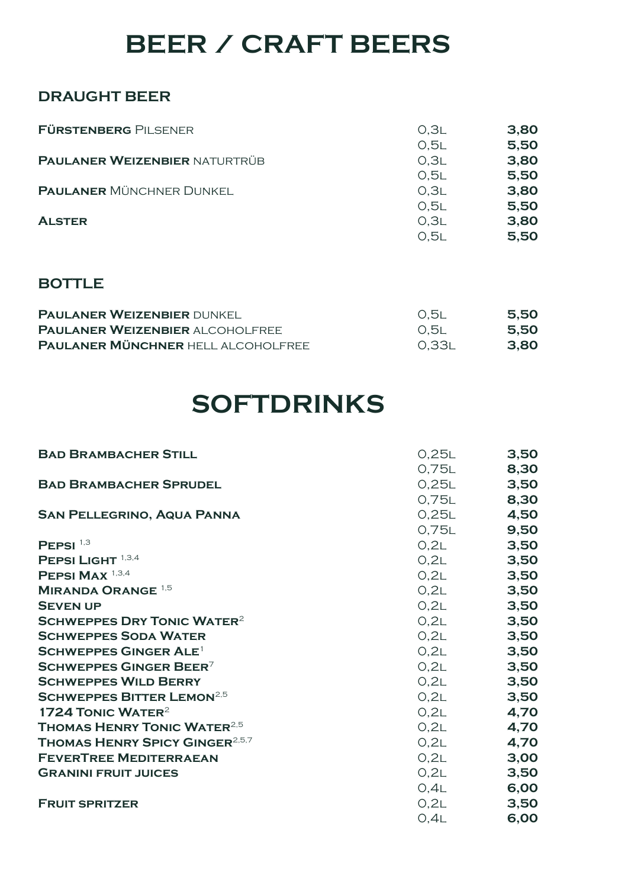## **BEER / CRAFT BEERS**

#### **DRAUGHT BEER**

| <b>FÜRSTENBERG PILSENER</b>          | 0.3L | 3,80 |
|--------------------------------------|------|------|
|                                      | 0.5L | 5,50 |
| <b>PAULANER WEIZENBIER NATURTRÜB</b> | 0.3L | 3,80 |
|                                      | 0.5L | 5,50 |
| <b>PAULANER MÜNCHNER DUNKEL</b>      | 0.3L | 3,80 |
|                                      | 0.5L | 5,50 |
| <b>ALSTER</b>                        | O.3L | 3,80 |
|                                      | 0.5L | 5,50 |

#### **BOTTLE**

| <b>PAULANER WEIZENBIER DUNKEL</b>         | 0.5l   | 5,50 |
|-------------------------------------------|--------|------|
| <b>PAULANER WEIZENBIER ALCOHOLFREE</b>    | - O.5L | 5,50 |
| <b>PAULANER MÜNCHNER HELL ALCOHOLFREE</b> | 0.33L  | 3,80 |

## **SOFTDRINKS**

| <b>BAD BRAMBACHER STILL</b>                       | 0,25L       | 3,50 |
|---------------------------------------------------|-------------|------|
|                                                   | 0,75L       | 8,30 |
| <b>BAD BRAMBACHER SPRUDEL</b>                     | 0,25L       | 3,50 |
|                                                   | 0,75L       | 8,30 |
| <b>SAN PELLEGRINO, AQUA PANNA</b>                 | 0.25L       | 4,50 |
|                                                   | 0,75L       | 9,50 |
| PEPSI $^{1,3}$                                    | O,2L        | 3,50 |
| PEPSI LIGHT 1,3,4                                 | O,2L        | 3,50 |
| PEPSI MAX <sup>1,3,4</sup>                        | O,2L        | 3,50 |
| <b>MIRANDA ORANGE</b> <sup>1,5</sup>              | O,2L        | 3,50 |
| <b>SEVEN UP</b>                                   | O,2L        | 3,50 |
| <b>SCHWEPPES DRY TONIC WATER<sup>2</sup></b>      | O,2L        | 3,50 |
| <b>SCHWEPPES SODA WATER</b>                       | O,2L        | 3,50 |
| <b>SCHWEPPES GINGER ALE<sup>1</sup></b>           | O,2L        | 3,50 |
| SCHWEPPES GINGER BEER <sup>7</sup>                | O,2L        | 3,50 |
| <b>SCHWEPPES WILD BERRY</b>                       | O,2L        | 3,50 |
| <b>SCHWEPPES BITTER LEMON<sup>2,5</sup></b>       | O,2L        | 3,50 |
| 1724 TONIC WATER <sup>2</sup>                     | O,2L        | 4,70 |
| <b>THOMAS HENRY TONIC WATER</b> <sup>2,5</sup>    | O,2L        | 4,70 |
| <b>THOMAS HENRY SPICY GINGER</b> <sup>2,5,7</sup> | O,2L        | 4,70 |
| <b>FEVERTREE MEDITERRAEAN</b>                     | O,2L        | 3,00 |
| <b>GRANINI FRUIT JUICES</b>                       | O,2L        | 3,50 |
|                                                   | $0,4L$ 6,00 |      |
| <b>FRUIT SPRITZER</b>                             | O,2L        | 3,50 |
|                                                   | O,4L        | 6,00 |
|                                                   |             |      |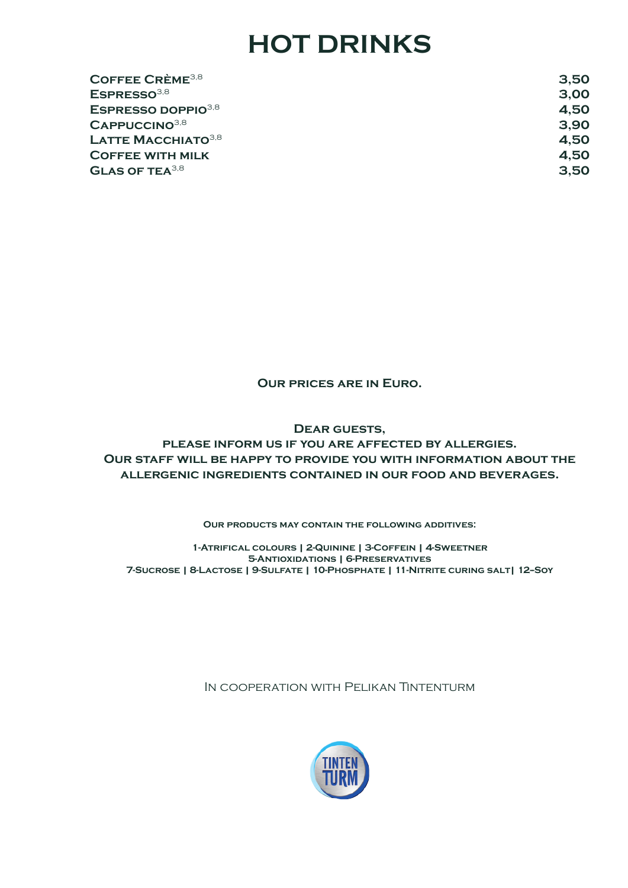## **HOT DRINKS**

| 3,50 |
|------|
| 3,00 |
| 4,50 |
| 3,90 |
| 4.50 |
| 4,50 |
| 3,50 |
|      |

**Our prices are in Euro.**

**Dear guests, please inform us if you are affected by allergies. Our staff will be happy to provide you with information about the allergenic ingredients contained in our food and beverages.**

**Our products may contain the following additives:**

**1-Atrifical colours | 2-Quinine | 3-Coffein | 4-Sweetner 5-Antioxidations | 6-Preservatives 7-Sucrose | 8-Lactose | 9-Sulfate | 10-Phosphate | 11-Nitrite curing salt| 12--Soy**

In cooperation with Pelikan Tintenturm